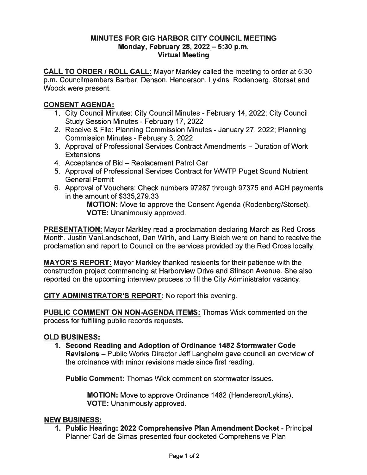### MINUTES FOR GIG HARBOR CITY COUNCIL MEETING Monday, February 28, 2022 - 5:30 p.m. Virtual Meeting

CALL TO ORDER / ROLL CALL: Mayor Markley called the meeting to order at 5:30 p. m. Councilmembers Barber, Denson, Henderson, Lykins, Rodenberg, Storset and Woock were present.

## CONSENT AGENDA:

- 1. City Council Minutes: City Council Minutes February 14, 2022; City Council Study Session Minutes - February 17, 2022
- 2. Receive & File: Planning Commission Minutes January 27, 2022; Planning Commission Minutes - February 3, 2022
- 3. Approval of Professional Services Contract Amendments Duration of Work **Extensions**
- 4. Acceptance of Bid Replacement Patrol Car
- 5. Approval of Professional Services Contract for WWTP Puget Sound Nutrient General Permit
- 6. Approval of Vouchers: Check numbers 97287 through 97375 and ACH payments in the amount of \$335,279.33

MOTION: Move to approve the Consent Agenda (Rodenberg/Storset). VOTE: Unanimously approved.

**PRESENTATION:** Mayor Markley read a proclamation declaring March as Red Cross Month. Justin VanLandschoot, Dan Wirth, and Larry Bleich were on hand to receive the proclamation and report to Council on the services provided by the Red Cross locally.

MAYOR'S REPORT: Mayor Markley thanked residents for their patience with the construction project commencing at Harborview Drive and Stinson Avenue. She also reported on the upcoming interview process to fill the City Administrator vacancy.

CITy ADMINISTRATOR'S REPORT: No report this evening.

PUBLIC COMMENT ON NON-AGENDA ITEMS: Thomas Wick commented on the process for fulfilling public records requests.

### OLD BUSINESS:

1. Second Reading and Adoption of Ordinance 1482 Stormwater Code Revisions - Public Works Director Jeff Langhelm gave council an overview of the ordinance with minor revisions made since first reading.

Public Comment: Thomas Wick comment on stormwater issues.

MOTION: Move to approve Ordinance 1482 (Henderson/Lykins) VOTE: Unanimously approved.

### NEW BUSINESS:

1. Public Hearing: 2022 Comprehensive Plan Amendment Docket - Principal Planner Carl de Simas presented four docketed Comprehensive Plan